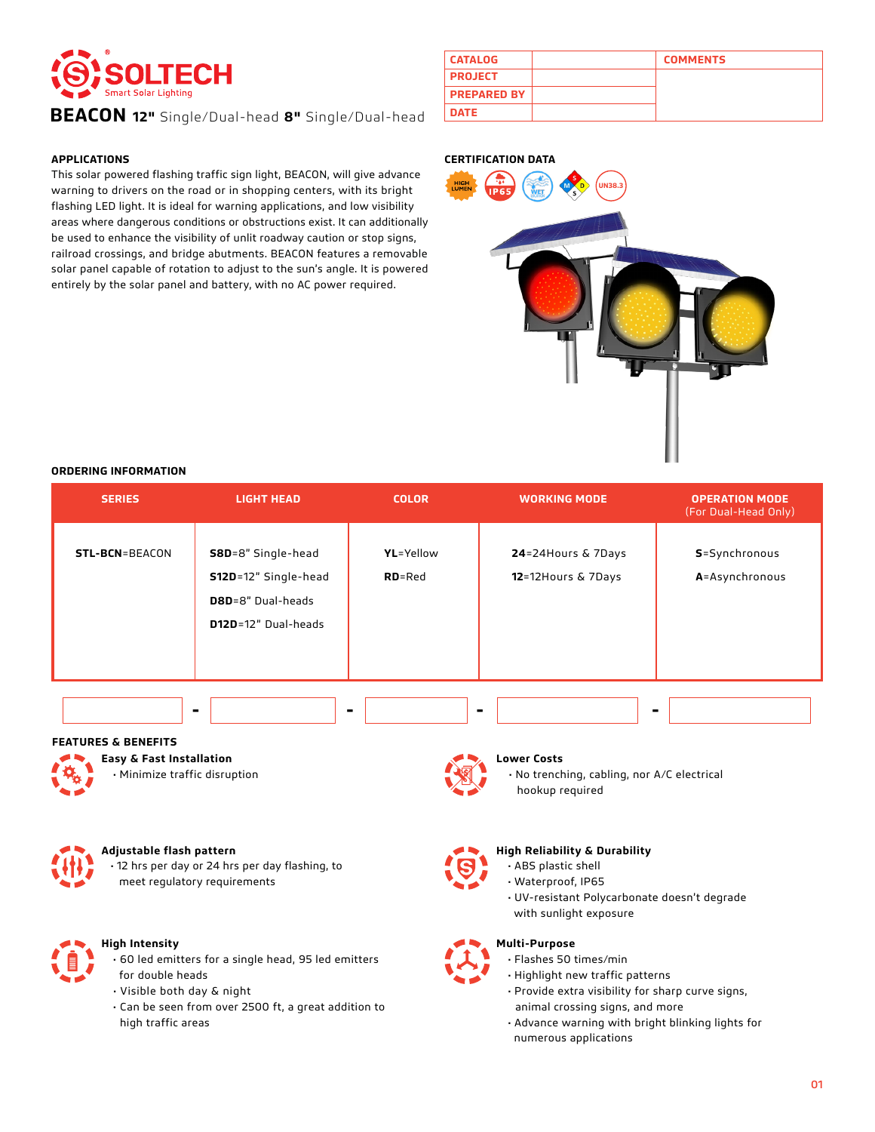

## **BEACON DATE 12"** Single/Dual-head **8"** Single/Dual-head

### **APPLICATIONS**

This solar powered flashing traffic sign light, BEACON, will give advance warning to drivers on the road or in shopping centers, with its bright flashing LED light. It is ideal for warning applications, and low visibility areas where dangerous conditions or obstructions exist. It can additionally be used to enhance the visibility of unlit roadway caution or stop signs, railroad crossings, and bridge abutments. BEACON features a removable solar panel capable of rotation to adjust to the sun's angle. It is powered entirely by the solar panel and battery, with no AC power required.

| <b>CATALOG</b>     | <b>COMMENTS</b> |
|--------------------|-----------------|
| <b>PROJECT</b>     |                 |
| <b>PREPARED BY</b> |                 |
| <b>DATE</b>        |                 |

#### **CERTIFICATION DATA**



#### **ORDERING INFORMATION**

| <b>SERIES</b>                                                                                                                                                                                                 | <b>LIGHT HEAD</b>                                                                              | <b>COLOR</b>            | <b>WORKING MODE</b>                                                                                                                                                                                                             | <b>OPERATION MODE</b><br>(For Dual-Head Only) |  |
|---------------------------------------------------------------------------------------------------------------------------------------------------------------------------------------------------------------|------------------------------------------------------------------------------------------------|-------------------------|---------------------------------------------------------------------------------------------------------------------------------------------------------------------------------------------------------------------------------|-----------------------------------------------|--|
| <b>STL-BCN=BEACON</b>                                                                                                                                                                                         | <b>S8D</b> =8" Single-head<br>S12D=12" Single-head<br>D8D=8" Dual-heads<br>D12D=12" Dual-heads | YL=Yellow<br>$RD = Red$ | 24=24Hours & 7Days<br>12=12Hours & 7Days                                                                                                                                                                                        | S=Synchronous<br>A=Asynchronous               |  |
| <b>FEATURES &amp; BENEFITS</b><br>Easy & Fast Installation<br>· Minimize traffic disruption                                                                                                                   | ۰<br>۰                                                                                         |                         | <b>Lower Costs</b><br>· No trenching, cabling, nor A/C electrical<br>hookup required                                                                                                                                            | -                                             |  |
| Adjustable flash pattern                                                                                                                                                                                      | · 12 hrs per day or 24 hrs per day flashing, to<br>meet regulatory requirements                |                         | <b>High Reliability &amp; Durability</b><br>· ABS plastic shell<br>· Waterproof, IP65<br>· UV-resistant Polycarbonate doesn't degrade<br>with sunlight exposure                                                                 |                                               |  |
| <b>High Intensity</b><br>· 60 led emitters for a single head, 95 led emitters<br>for double heads<br>· Visible both day & night<br>· Can be seen from over 2500 ft, a great addition to<br>high traffic areas |                                                                                                |                         | <b>Multi-Purpose</b><br>· Flashes 50 times/min<br>· Highlight new traffic patterns<br>· Provide extra visibility for sharp curve signs,<br>animal crossing signs, and more<br>. Advance warning with bright blinking lights for |                                               |  |

• Advance warning with bright blinking lights for numerous applications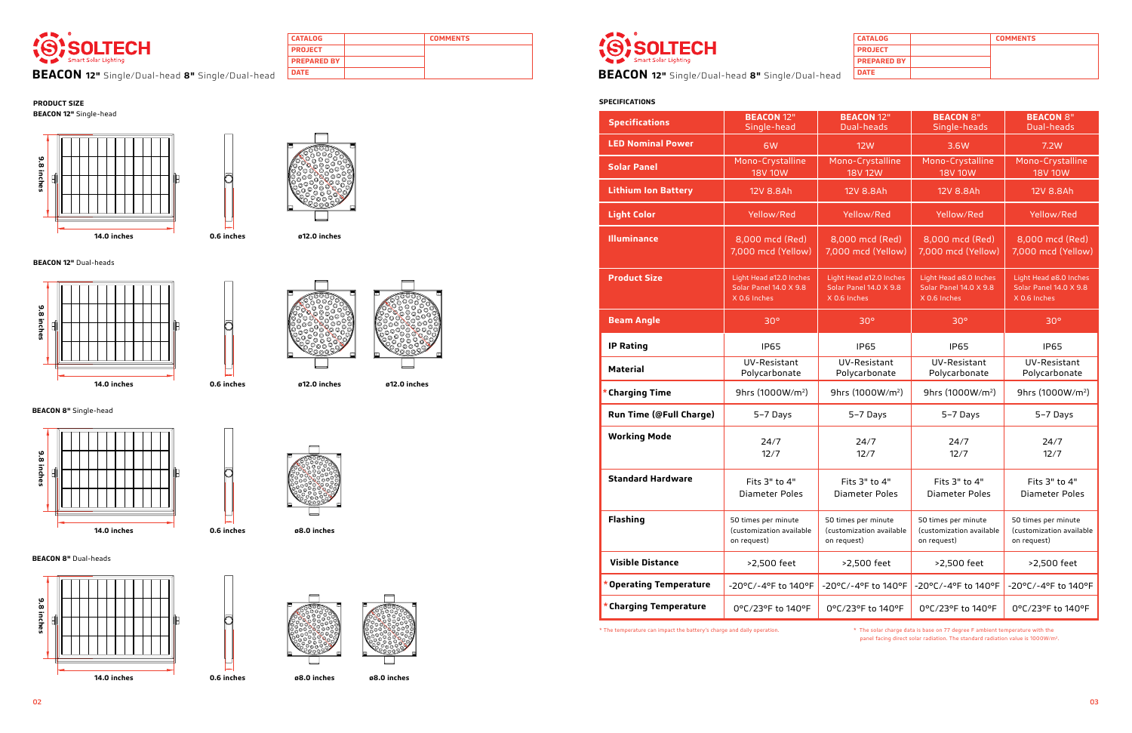

**BEACON 12"** Single/Dual-head 8" Single/Dual-head **DATE** 

**CATALOG COMMENTS**

**PROJECT PREPARED BY**

| <b>CATALOG</b>     | <b>COMMENTS</b> |
|--------------------|-----------------|
| <b>PROJECT</b>     |                 |
| <b>PREPARED BY</b> |                 |
| <b>DATE</b>        |                 |

**BEACON DATE 12"** Single/Dual-head **8"** Single/Dual-head

#### **PRODUCT SIZE SPECIFICATIONS BEACON 12"** Single-head

**BEACON 12"** Dual-heads

**BEACON 8"** Single-head

**BEACON 8"** Dual-heads







**ø12.0 inches**



**ø8.0 inches**







**ø8.0 inches ø8.0 inches**



**ø12.0 inches ø12.0 inches**

**0.6 inches**

**0.6 inches**

**0.6 inches**

┍



**0.6 inches**

\* The temperature can impact the battery's charge and daily operation. \* The solar charge data is base on 77 degree F ambient temperature with the

| <b>Specifications</b>      | <b>BEACON 12"</b><br>Single-head                                  | <b>BEACON 12"</b><br>Dual-heads                                   | <b>BEACON 8"</b><br>Single-heads                                 | <b>BEACON 8"</b><br>Dual-heads                                   |
|----------------------------|-------------------------------------------------------------------|-------------------------------------------------------------------|------------------------------------------------------------------|------------------------------------------------------------------|
| <b>LED Nominal Power</b>   | 6W                                                                | <b>12W</b>                                                        | 3.6W                                                             | 7.2W                                                             |
| <b>Solar Panel</b>         | Mono-Crystalline<br><b>18V 10W</b>                                | Mono-Crystalline<br><b>18V 12W</b>                                | Mono-Crystalline<br><b>18V 10W</b>                               | Mono-Crystalline<br><b>18V 10W</b>                               |
| <b>Lithium Ion Battery</b> | 12V 8.8Ah                                                         | 12V 8.8Ah                                                         | 12V 8.8Ah                                                        | 12V 8.8Ah                                                        |
| <b>Light Color</b>         | Yellow/Red                                                        | Yellow/Red                                                        | Yellow/Red                                                       | Yellow/Red                                                       |
| <b>Illuminance</b>         | 8,000 mcd (Red)<br>7,000 mcd (Yellow)                             | 8,000 mcd (Red)<br>7,000 mcd (Yellow)                             | 8,000 mcd (Red)<br>7,000 mcd (Yellow)                            | 8,000 mcd (Red)<br>7,000 mcd (Yellow)                            |
| <b>Product Size</b>        | Light Head ø12.0 Inches<br>Solar Panel 14.0 X 9.8<br>X 0.6 Inches | Light Head ø12.0 Inches<br>Solar Panel 14.0 X 9.8<br>X 0.6 Inches | Light Head ø8.0 Inches<br>Solar Panel 14.0 X 9.8<br>X 0.6 Inches | Light Head ø8.0 Inches<br>Solar Panel 14.0 X 9.8<br>X 0.6 Inches |
| <b>Beam Angle</b>          | 30 <sup>o</sup>                                                   | 30 <sup>o</sup>                                                   | 30 <sup>o</sup>                                                  | 30 <sup>o</sup>                                                  |
| <b>IP Rating</b>           | <b>IP65</b>                                                       | <b>IP65</b>                                                       | <b>IP65</b>                                                      | <b>IP65</b>                                                      |
| <b>Material</b>            | UV-Resistant<br>Polycarbonate                                     | UV-Resistant<br>Polycarbonate                                     | UV-Resistant<br>Polycarbonate                                    | UV-Resistant<br>Polycarbonate                                    |
| <b>Charging Time</b>       | 9hrs (1000W/m <sup>2</sup> )                                      | 9hrs (1000W/m <sup>2</sup> )                                      | 9hrs (1000W/m <sup>2</sup> )                                     | 9hrs (1000W/m <sup>2</sup> )                                     |
| Run Time (@Full Charge)    | 5-7 Days                                                          | 5-7 Days                                                          | 5-7 Days                                                         | 5-7 Days                                                         |
| <b>Working Mode</b>        | 24/7<br>12/7                                                      | 24/7<br>12/7                                                      | 24/7<br>12/7                                                     | 24/7<br>12/7                                                     |
| <b>Standard Hardware</b>   | Fits 3" to 4"<br>Diameter Poles                                   | Fits 3" to 4"<br>Diameter Poles                                   | Fits 3" to 4"<br>Diameter Poles                                  | Fits 3" to 4"<br>Diameter Poles                                  |
| <b>Flashing</b>            | 50 times per minute<br>(customization available<br>on request)    | 50 times per minute<br>(customization available<br>on request)    | 50 times per minute<br>(customization available<br>on request)   | 50 times per minute<br>(customization available<br>on request)   |
| <b>Visible Distance</b>    | >2,500 feet                                                       | >2,500 feet                                                       | >2,500 feet                                                      | >2,500 feet                                                      |
| Operating Temperature      | -20°C/-4°F to 140°F                                               | -20°C/-4°F to 140°F                                               | -20°C/-4°F to 140°F                                              | -20°C/-4°F to 140°F                                              |
| * Charging Temperature     | 0°C/23°F to 140°F                                                 | 0°C/23°F to 140°F                                                 | 0°C/23°F to 140°F                                                | 0°C/23°F to 140°F                                                |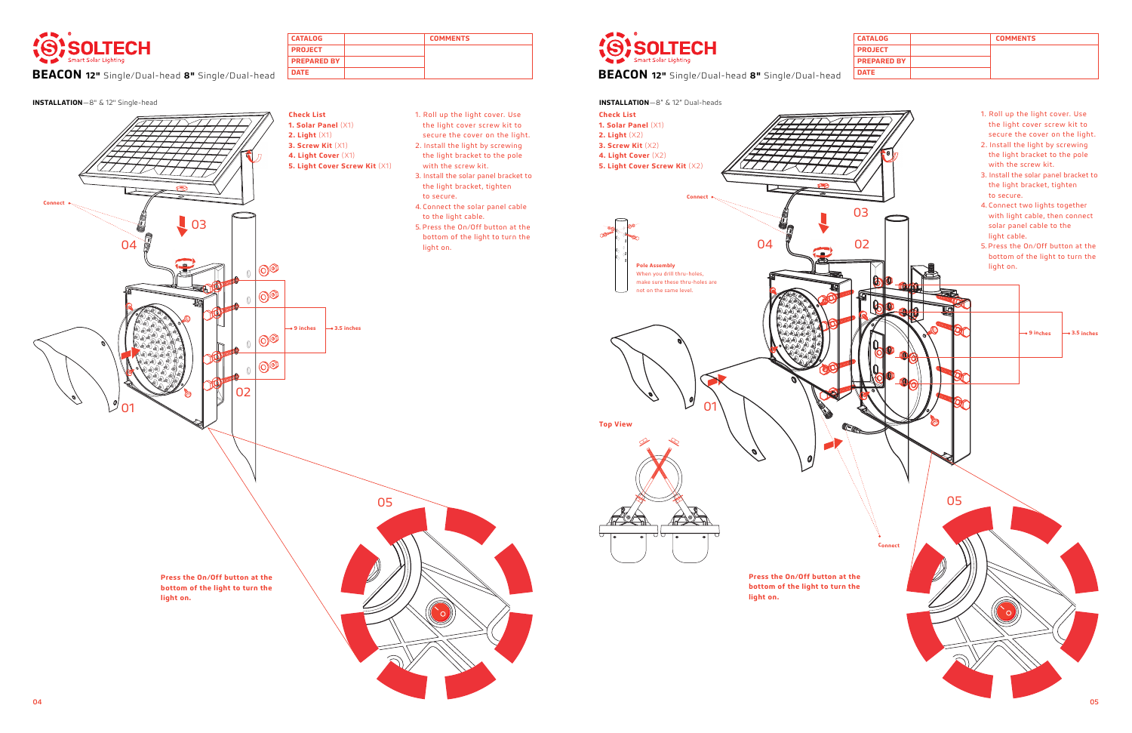

**BEACON 12"** Single/Dual-head 8" Single/Dual-head **DATE** 

 $\Box$  03

04 05



02

04

ä



**Press the On/Off button at the bottom of the light to turn the** 

**light on.** 

**Connect**

 $\sqrt{\phantom{a}}$ 01